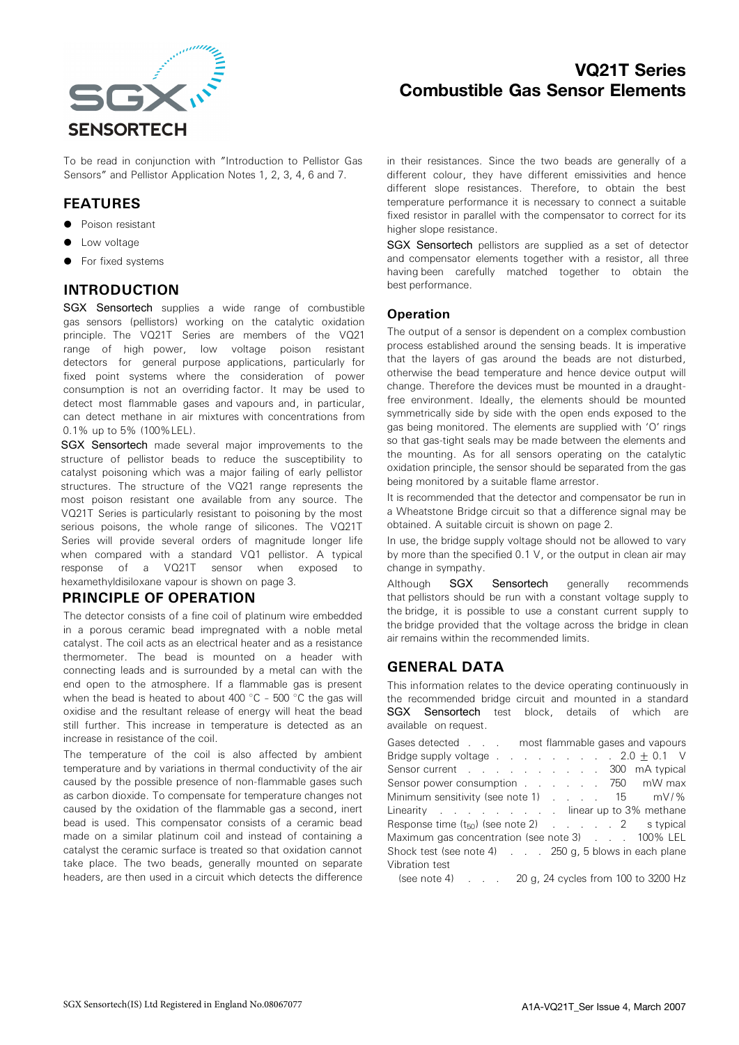

# VQ21T Series Combustible Gas Sensor Elements

To be read in conjunction with "Introduction to Pellistor Gas Sensors" and Pellistor Application Notes 1, 2, 3, 4, 6 and 7.

### FEATURES

- Poison resistant
- Low voltage
- For fixed systems

### INTRODUCTION

SGX Sensortech supplies a wide range of combustible gas sensors (pellistors) working on the catalytic oxidation principle. The VQ21T Series are members of the VQ21 range of high power, low voltage poison resistant detectors for general purpose applications, particularly for fixed point systems where the consideration of power consumption is not an overriding factor. It may be used to detect most flammable gases and vapours and, in particular, can detect methane in air mixtures with concentrations from 0.1% up to 5% (100%LEL).

SGX Sensortech made several major improvements to the structure of pellistor beads to reduce the susceptibility to catalyst poisoning which was a major failing of early pellistor structures. The structure of the VQ21 range represents the most poison resistant one available from any source. The VQ21T Series is particularly resistant to poisoning by the most serious poisons, the whole range of silicones. The VQ21T Series will provide several orders of magnitude longer life when compared with a standard VQ1 pellistor. A typical response of a VQ21T sensor when exposed to hexamethyldisiloxane vapour is shown on page 3.

#### PRINCIPLE OF OPERATION

The detector consists of a fine coil of platinum wire embedded in a porous ceramic bead impregnated with a noble metal catalyst. The coil acts as an electrical heater and as a resistance thermometer. The bead is mounted on a header with connecting leads and is surrounded by a metal can with the end open to the atmosphere. If a flammable gas is present when the bead is heated to about 400  $^{\circ}$ C - 500  $^{\circ}$ C the gas will oxidise and the resultant release of energy will heat the bead still further. This increase in temperature is detected as an increase in resistance of the coil.

The temperature of the coil is also affected by ambient temperature and by variations in thermal conductivity of the air caused by the possible presence of non-flammable gases such as carbon dioxide. To compensate for temperature changes not caused by the oxidation of the flammable gas a second, inert bead is used. This compensator consists of a ceramic bead made on a similar platinum coil and instead of containing a catalyst the ceramic surface is treated so that oxidation cannot take place. The two beads, generally mounted on separate headers, are then used in a circuit which detects the difference in their resistances. Since the two beads are generally of a different colour, they have different emissivities and hence different slope resistances. Therefore, to obtain the best temperature performance it is necessary to connect a suitable fixed resistor in parallel with the compensator to correct for its higher slope resistance.

SGX Sensortech pellistors are supplied as a set of detector and compensator elements together with a resistor, all three having been carefully matched together to obtain the best performance.

#### **Operation**

The output of a sensor is dependent on a complex combustion process established around the sensing beads. It is imperative that the layers of gas around the beads are not disturbed, otherwise the bead temperature and hence device output will change. Therefore the devices must be mounted in a draughtfree environment. Ideally, the elements should be mounted symmetrically side by side with the open ends exposed to the gas being monitored. The elements are supplied with 'O' rings so that gas-tight seals may be made between the elements and the mounting. As for all sensors operating on the catalytic oxidation principle, the sensor should be separated from the gas being monitored by a suitable flame arrestor.

It is recommended that the detector and compensator be run in a Wheatstone Bridge circuit so that a difference signal may be obtained. A suitable circuit is shown on page 2.

In use, the bridge supply voltage should not be allowed to vary by more than the specified 0.1 V, or the output in clean air may change in sympathy.

Although **SGX Sensortech** generally recommends that pellistors should be run with a constant voltage supply to the bridge, it is possible to use a constant current supply to the bridge provided that the voltage across the bridge in clean air remains within the recommended limits.

### GENERAL DATA

This information relates to the device operating continuously in the recommended bridge circuit and mounted in a standard SGX Sensortech test block, details of which are available on request.

Gases detected . . . most flammable gases and vapours Bridge supply voltage  $\ldots$  . . . . . . 2.0 + 0.1 V Sensor current . . . . . . . . . . . 300 mA typical Sensor power consumption . . . . . . 750 mW max Minimum sensitivity (see note 1) . . . . 15 mV/% Linearity . . . . . . . . . linear up to 3% methane Response time  $(t_{50})$  (see note 2) . . . . . 2 s typical Maximum gas concentration (see note 3) . . . 100% LEL Shock test (see note 4) . . . 250 g, 5 blows in each plane Vibration test

(see note 4) . . . 20 g, 24 cycles from 100 to 3200 Hz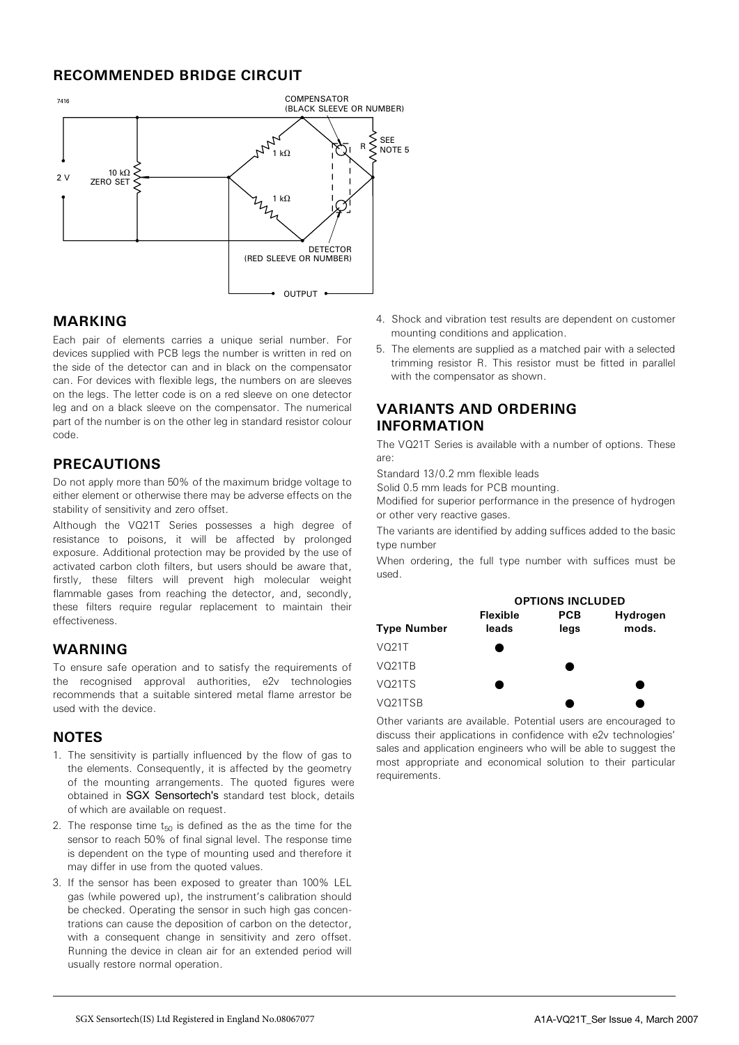### RECOMMENDED BRIDGE CIRCUIT



#### MARKING

Each pair of elements carries a unique serial number. For devices supplied with PCB legs the number is written in red on the side of the detector can and in black on the compensator can. For devices with flexible legs, the numbers on are sleeves on the legs. The letter code is on a red sleeve on one detector leg and on a black sleeve on the compensator. The numerical part of the number is on the other leg in standard resistor colour code.

### PRECAUTIONS

Do not apply more than 50% of the maximum bridge voltage to either element or otherwise there may be adverse effects on the stability of sensitivity and zero offset.

Although the VQ21T Series possesses a high degree of resistance to poisons, it will be affected by prolonged exposure. Additional protection may be provided by the use of activated carbon cloth filters, but users should be aware that, firstly, these filters will prevent high molecular weight flammable gases from reaching the detector, and, secondly, these filters require regular replacement to maintain their effectiveness.

### WARNING

To ensure safe operation and to satisfy the requirements of the recognised approval authorities, e2v technologies recommends that a suitable sintered metal flame arrestor be used with the device.

#### **NOTES**

- 1. The sensitivity is partially influenced by the flow of gas to the elements. Consequently, it is affected by the geometry of the mounting arrangements. The quoted figures were obtained in SGX Sensortech's standard test block, details of which are available on request.
- 2. The response time  $t_{50}$  is defined as the as the time for the sensor to reach 50% of final signal level. The response time is dependent on the type of mounting used and therefore it may differ in use from the quoted values.
- 3. If the sensor has been exposed to greater than 100% LEL gas (while powered up), the instrument's calibration should be checked. Operating the sensor in such high gas concentrations can cause the deposition of carbon on the detector, with a consequent change in sensitivity and zero offset. Running the device in clean air for an extended period will usually restore normal operation.
- 4. Shock and vibration test results are dependent on customer mounting conditions and application.
- 5. The elements are supplied as a matched pair with a selected trimming resistor R. This resistor must be fitted in parallel with the compensator as shown.

#### VARIANTS AND ORDERING INFORMATION

The VQ21T Series is available with a number of options. These are:

Standard 13/0.2 mm flexible leads

Solid 0.5 mm leads for PCB mounting.

Modified for superior performance in the presence of hydrogen or other very reactive gases.

The variants are identified by adding suffices added to the basic type number

When ordering, the full type number with suffices must be used.

|                                 | <b>OPTIONS INCLUDED</b>  |                    |                   |
|---------------------------------|--------------------------|--------------------|-------------------|
| <b>Type Number</b>              | <b>Flexible</b><br>leads | <b>PCB</b><br>legs | Hydrogen<br>mods. |
| VO21T                           |                          |                    |                   |
| VO <sub>21</sub> TR             |                          |                    |                   |
| VO <sub>21</sub> T <sub>S</sub> |                          |                    |                   |
| VO21TSB                         |                          |                    |                   |

Other variants are available. Potential users are encouraged to discuss their applications in confidence with e2v technologies' sales and application engineers who will be able to suggest the most appropriate and economical solution to their particular requirements.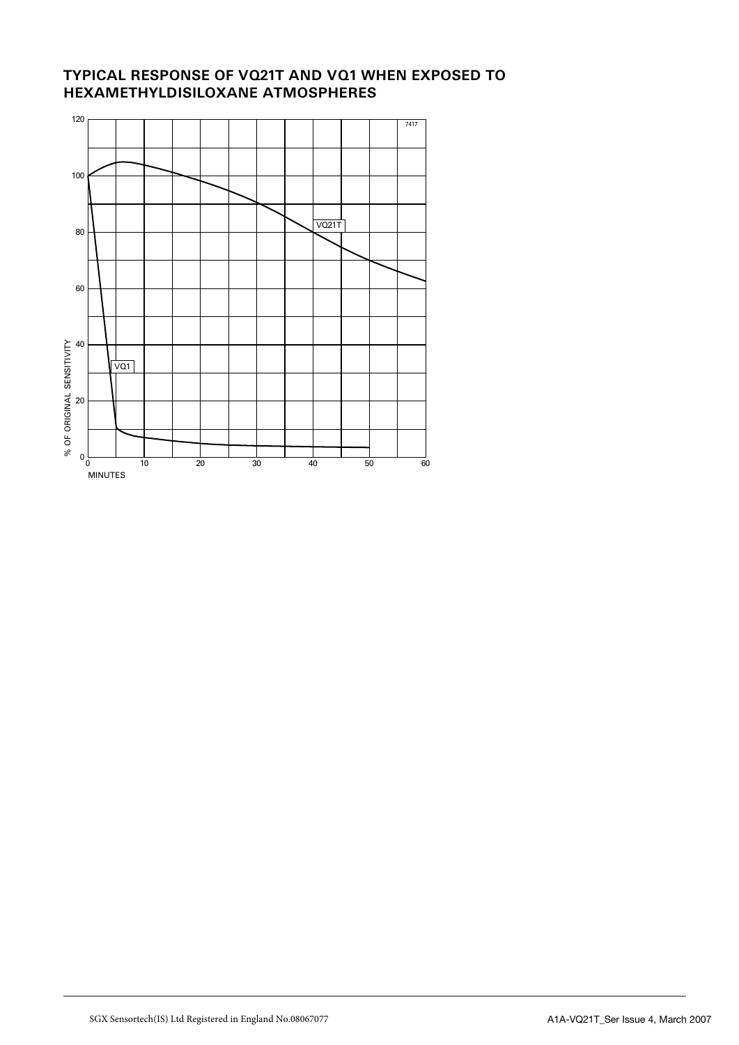## TYPICAL RESPONSE OF VQ21T AND VQ1 WHEN EXPOSED TO HEXAMETHYLDISILOXANE ATMOSPHERES